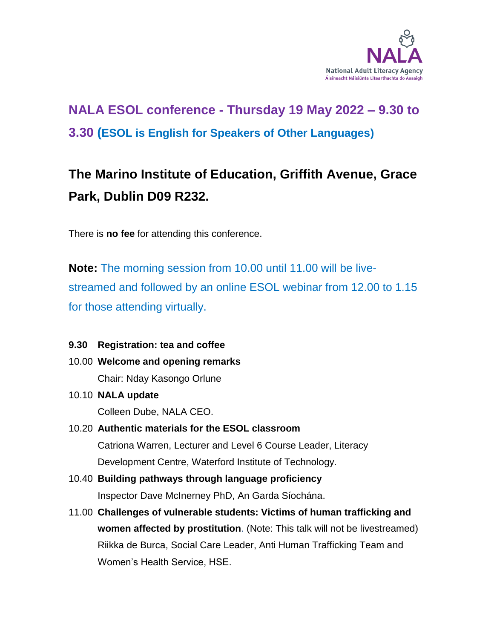

# **NALA ESOL conference - Thursday 19 May 2022 – 9.30 to 3.30 (ESOL is English for Speakers of Other Languages)**

# **The Marino Institute of Education, Griffith Avenue, Grace Park, Dublin D09 R232.**

There is **no fee** for attending this conference.

**Note:** The morning session from 10.00 until 11.00 will be livestreamed and followed by an online ESOL webinar from 12.00 to 1.15 for those attending virtually.

# **9.30 Registration: tea and coffee**

- 10.00 **Welcome and opening remarks**  Chair: Nday Kasongo Orlune
- 10.10 **NALA update**

Colleen Dube, NALA CEO.

# 10.20 **Authentic materials for the ESOL classroom**  Catriona Warren, Lecturer and Level 6 Course Leader, Literacy Development Centre, Waterford Institute of Technology.

- 10.40 **Building pathways through language proficiency** Inspector Dave McInerney PhD, An Garda Síochána.
- 11.00 **Challenges of vulnerable students: Victims of human trafficking and women affected by prostitution**. (Note: This talk will not be livestreamed) Riikka de Burca, Social Care Leader, Anti Human Trafficking Team and Women's Health Service, HSE.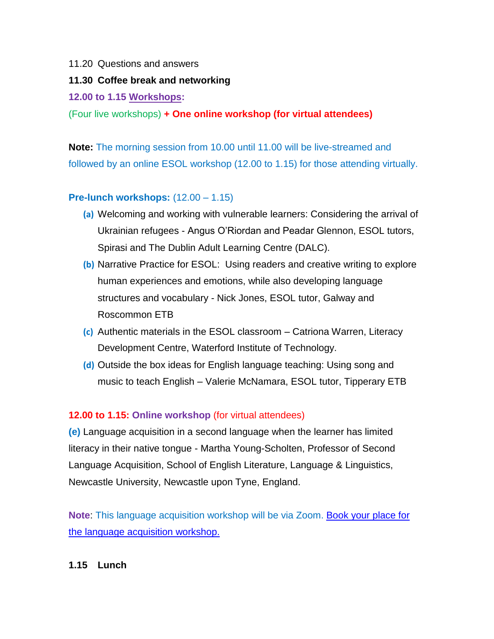#### 11.20 Questions and answers

### **11.30 Coffee break and networking**

### **12.00 to 1.15 Workshops:**

(Four live workshops) **+ One online workshop (for virtual attendees)** 

**Note:** The morning session from 10.00 until 11.00 will be live-streamed and followed by an online ESOL workshop (12.00 to 1.15) for those attending virtually.

# **Pre-lunch workshops:** (12.00 – 1.15)

- **(a)** Welcoming and working with vulnerable learners: Considering the arrival of Ukrainian refugees - Angus O'Riordan and Peadar Glennon, ESOL tutors, Spirasi and The Dublin Adult Learning Centre (DALC).
- **(b)** Narrative Practice for ESOL: Using readers and creative writing to explore human experiences and emotions, while also developing language structures and vocabulary - Nick Jones, ESOL tutor, Galway and Roscommon ETB
- **(c)** Authentic materials in the ESOL classroom Catriona Warren, Literacy Development Centre, Waterford Institute of Technology.
- **(d)** Outside the box ideas for English language teaching: Using song and music to teach English – Valerie McNamara, ESOL tutor, Tipperary ETB

# **12.00 to 1.15: Online workshop** (for virtual attendees)

**(e)** Language acquisition in a second language when the learner has limited literacy in their native tongue - Martha Young-Scholten, Professor of Second Language Acquisition, School of English Literature, Language & Linguistics, Newcastle University, Newcastle upon Tyne, England.

**Note**: This language acquisition workshop will be via Zoom. [Book your place for](https://www.nala.ie/support-us/language-acquisition-in-a-second-language/)  [the language acquisition workshop.](https://www.nala.ie/support-us/language-acquisition-in-a-second-language/)

# **1.15 Lunch**